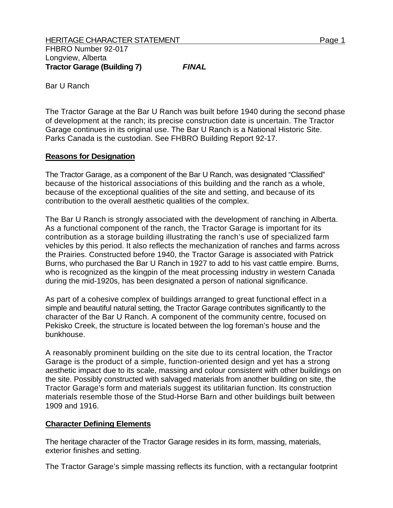Bar U Ranch

The Tractor Garage at the Bar U Ranch was built before 1940 during the second phase of development at the ranch; its precise construction date is uncertain. The Tractor Garage continues in its original use. The Bar U Ranch is a National Historic Site. Parks Canada is the custodian. See FHBRO Building Report 92-17.

## **Reasons for Designation**

The Tractor Garage, as a component of the Bar U Ranch, was designated "Classified" because of the historical associations of this building and the ranch as a whole, because of the exceptional qualities of the site and setting, and because of its contribution to the overall aesthetic qualities of the complex.

The Bar U Ranch is strongly associated with the development of ranching in Alberta. As a functional component of the ranch, the Tractor Garage is important for its contribution as a storage building illustrating the ranch's use of specialized farm vehicles by this period. It also reflects the mechanization of ranches and farms across the Prairies. Constructed before 1940, the Tractor Garage is associated with Patrick Burns, who purchased the Bar U Ranch in 1927 to add to his vast cattle empire. Burns, who is recognized as the kingpin of the meat processing industry in western Canada during the mid-1920s, has been designated a person of national significance.

As part of a cohesive complex of buildings arranged to great functional effect in a simple and beautiful natural setting, the Tractor Garage contributes significantly to the character of the Bar U Ranch. A component of the community centre, focused on Pekisko Creek, the structure is located between the log foreman's house and the bunkhouse.

A reasonably prominent building on the site due to its central location, the Tractor Garage is the product of a simple, function-oriented design and yet has a strong aesthetic impact due to its scale, massing and colour consistent with other buildings on the site. Possibly constructed with salvaged materials from another building on site, the Tractor Garage's form and materials suggest its utilitarian function. Its construction materials resemble those of the Stud-Horse Barn and other buildings built between 1909 and 1916.

## **Character Defining Elements**

The heritage character of the Tractor Garage resides in its form, massing, materials, exterior finishes and setting.

The Tractor Garage's simple massing reflects its function, with a rectangular footprint